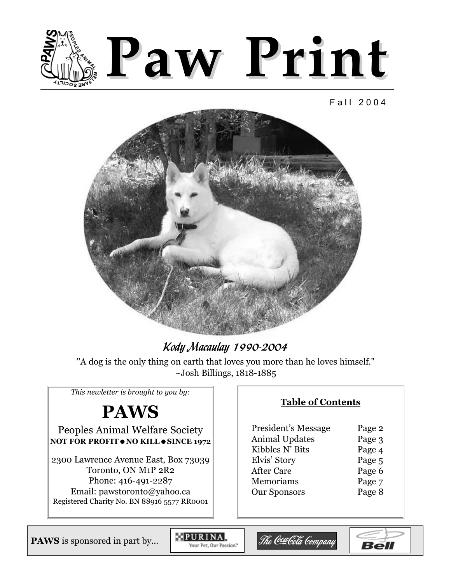

#### Fall 2004



# **Kody Macaulay 1990-2004**

"A dog is the only thing on earth that loves you more than he loves himself." ~Josh Billings, 1818-1885

*This newletter is brought to you by:*

# **PAWS**

## Peoples Animal Welfare Society **NOT FOR PROFIT**  $\bullet$  **NO KILL**  $\bullet$  **SINCE 1972**

2300 Lawrence Avenue East, Box 73039 Toronto, ON M1P 2R2 Phone: 416-491-2287 Email: pawstoronto@yahoo.ca Registered Charity No. BN 88916 5577 RR0001

### **Table of Contents**

| President's Message   | Page 2 |
|-----------------------|--------|
| <b>Animal Updates</b> | Page 3 |
| Kibbles N' Bits       | Page 4 |
| Elvis' Story          | Page 5 |
| <b>After Care</b>     | Page 6 |
| Memoriams             | Page 7 |
| <b>Our Sponsors</b>   | Page 8 |
|                       |        |

**PAWS** is sponsored in part by...

PURINA, Your Pet, Our Passion."



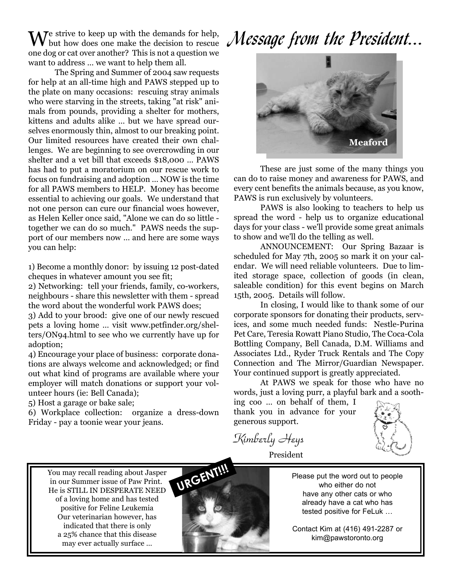$\mathbf{W}_{\text{b}}^{\text{e}}$  strive to keep up with the demands for help, but how does one make the decision to rescue one dog or cat over another? This is not a question we want to address … we want to help them all.

The Spring and Summer of 2004 saw requests for help at an all-time high and PAWS stepped up to the plate on many occasions: rescuing stray animals who were starving in the streets, taking "at risk" animals from pounds, providing a shelter for mothers, kittens and adults alike … but we have spread ourselves enormously thin, almost to our breaking point. Our limited resources have created their own challenges. We are beginning to see overcrowding in our shelter and a vet bill that exceeds \$18,000 … PAWS has had to put a moratorium on our rescue work to focus on fundraising and adoption … NOW is the time for all PAWS members to HELP. Money has become essential to achieving our goals. We understand that not one person can cure our financial woes however, as Helen Keller once said, "Alone we can do so little together we can do so much." PAWS needs the support of our members now … and here are some ways you can help:

1) Become a monthly donor: by issuing 12 post-dated cheques in whatever amount you see fit;

2) Networking: tell your friends, family, co-workers, neighbours - share this newsletter with them - spread the word about the wonderful work PAWS does;

3) Add to your brood: give one of our newly rescued pets a loving home … visit www.petfinder.org/shelters/ON94.html to see who we currently have up for adoption;

4) Encourage your place of business: corporate donations are always welcome and acknowledged; or find out what kind of programs are available where your employer will match donations or support your volunteer hours (ie: Bell Canada);

5) Host a garage or bake sale;

6) Workplace collection: organize a dress-down Friday - pay a toonie wear your jeans.

# Message from the President...



These are just some of the many things you can do to raise money and awareness for PAWS, and every cent benefits the animals because, as you know, PAWS is run exclusively by volunteers.

PAWS is also looking to teachers to help us spread the word - help us to organize educational days for your class - we'll provide some great animals to show and we'll do the telling as well.

ANNOUNCEMENT: Our Spring Bazaar is scheduled for May 7th, 2005 so mark it on your calendar. We will need reliable volunteers. Due to limited storage space, collection of goods (in clean, saleable condition) for this event begins on March 15th, 2005. Details will follow.

In closing, I would like to thank some of our corporate sponsors for donating their products, services, and some much needed funds: Nestle-Purina Pet Care, Teresia Rowatt Piano Studio, The Coca-Cola Bottling Company, Bell Canada, D.M. Williams and Associates Ltd., Ryder Truck Rentals and The Copy Connection and The Mirror/Guardian Newspaper. Your continued support is greatly appreciated.

At PAWS we speak for those who have no words, just a loving purr, a playful bark and a sooth-

ing coo … on behalf of them, I thank you in advance for your generous support.

Kimberly Heys President

You may recall reading about Jasper in our Summer issue of Paw Print. He is STILL IN DESPERATE NEED of a loving home and has tested positive for Feline Leukemia Our veterinarian however, has indicated that there is only a 25% chance that this disease may ever actually surface …



Please put the word out to people who either do not have any other cats or who already have a cat who has tested positive for FeLuk …

Contact Kim at (416) 491-2287 or kim@pawstoronto.org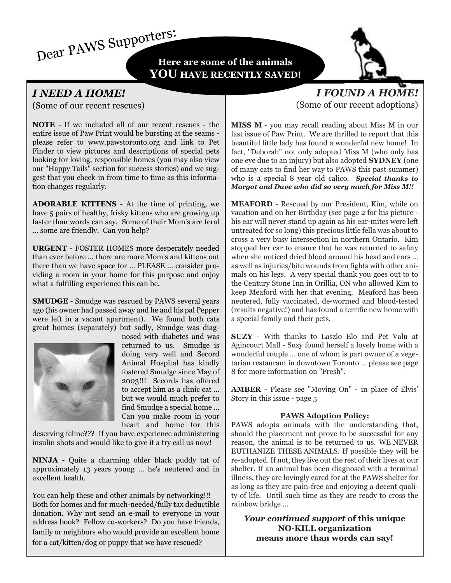Dear PAWS Supporters:

**Here are some of the animals YOU HAVE RECENTLY SAVED!**



# *I NEED A HOME!*

(Some of our recent rescues)

**NOTE** - If we included all of our recent rescues - the entire issue of Paw Print would be bursting at the seams please refer to www.pawstoronto.org and link to Pet Finder to view pictures and descriptions of special pets looking for loving, responsible homes (you may also view our "Happy Tails" section for success stories) and we suggest that you check-in from time to time as this information changes regularly.

**ADORABLE KITTENS** - At the time of printing, we have 5 pairs of healthy, frisky kittens who are growing up faster than words can say. Some of their Mom's are feral … some are friendly. Can you help?

**URGENT** - FOSTER HOMES more desperately needed than ever before … there are more Mom's and kittens out there than we have space for … PLEASE … consider providing a room in your home for this purpose and enjoy what a fulfilling experience this can be.

**SMUDGE** - Smudge was rescued by PAWS several years ago (his owner had passed away and he and his pal Pepper were left in a vacant apartment). We found both cats great homes (separately) but sadly, Smudge was diag-



nosed with diabetes and was returned to us. Smudge is doing very well and Secord Animal Hospital has kindly fostered Smudge since May of 2003!!! Secords has offered to accept him as a clinic cat … but we would much prefer to find Smudge a special home … Can you make room in your heart and home for this

deserving feline??? If you have experience administering insulin shots and would like to give it a try call us now!

**NINJA** - Quite a charming older black puddy tat of approximately 13 years young … he's neutered and in excellent health.

You can help these and other animals by networking!!! Both for homes and for much-needed/fully tax deductible donation. Why not send an e-mail to everyone in your address book? Fellow co-workers? Do you have friends, family or neighbors who would provide an excellent home for a cat/kitten/dog or puppy that we have rescued?

# *I FOUND A HOME!*  (Some of our recent adoptions)

**MISS M** - you may recall reading about Miss M in our last issue of Paw Print. We are thrilled to report that this beautiful little lady has found a wonderful new home! In fact, "Deborah" not only adopted Miss M (who only has one eye due to an injury) but also adopted **SYDNEY** (one of many cats to find her way to PAWS this past summer) who is a special 8 year old calico. *Special thanks to Margot and Dave who did so very much for Miss M!!*

**MEAFORD** - Rescued by our President, Kim, while on vacation and on her Birthday (see page 2 for his picture his ear will never stand up again as his ear-mites were left untreated for so long) this precious little fella was about to cross a very busy intersection in northern Ontario. Kim stopped her car to ensure that he was returned to safety when she noticed dried blood around his head and ears … as well as injuries/bite wounds from fights with other animals on his legs. A very special thank you goes out to to the Century Stone Inn in Orillia, ON who allowed Kim to keep Meaford with her that evening. Meaford has been neutered, fully vaccinated, de-wormed and blood-tested (results negative!) and has found a terrific new home with a special family and their pets.

**SUZY** - With thanks to Laszlo Elo and Pet Valu at Agincourt Mall - Suzy found herself a lovely home with a wonderful couple … one of whom is part owner of a vegetarian restaurant in downtown Toronto … please see page 8 for more information on "Fresh".

**AMBER** - Please see "Moving On" - in place of Elvis' Story in this issue - page 5

#### **PAWS Adoption Policy:**

PAWS adopts animals with the understanding that, should the placement not prove to be successful for any reason, the animal is to be returned to us. WE NEVER EUTHANIZE THESE ANIMALS. If possible they will be re-adopted. If not, they live out the rest of their lives at our shelter. If an animal has been diagnosed with a terminal illness, they are lovingly cared for at the PAWS shelter for as long as they are pain-free and enjoying a decent quality of life. Until such time as they are ready to cross the rainbow bridge ...

*Your continued support* **of this unique NO-KILL organization means more than words can say!**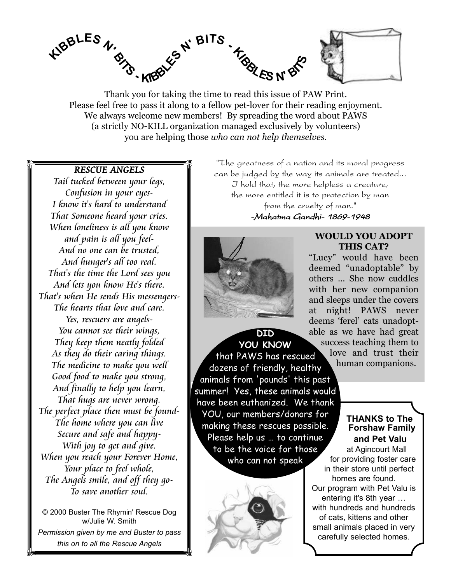

Thank you for taking the time to read this issue of PAW Print. Please feel free to pass it along to a fellow pet-lover for their reading enjoyment. We always welcome new members! By spreading the word about PAWS (a strictly NO-KILL organization managed exclusively by volunteers) you are helping those *who can not help themselves.*

#### RESCUE ANGELS

Tail tucked between your legs, Confusion in your eyes-I know it's hard to understand That Someone heard your cries. When loneliness is all you know and pain is all you feel-And no one can be trusted, And hunger's all too real. That's the time the Lord sees you And lets you know He's there. That's when He sends His messengers-The hearts that love and care. Yes, rescuers are angels-You cannot see their wings, They keep them neatly folded As they do their caring things. The medicine to make you well Good food to make you strong, And finally to help you learn, That hugs are never wrong. The perfect place then must be found-The home where you can live Secure and safe and happy-With joy to get and give. When you reach your Forever Home, Your place to feel whole, The Angels smile, and off they go-To save another soul.

© 2000 Buster The Rhymin' Rescue Dog w/Julie W. Smith *Permission given by me and Buster to pass this on to all the Rescue Angels*

"The greatness of a nation and its moral progress can be judged by the way its animals are treated... I hold that, the more helpless a creature, the more entitled it is to protection by man from the cruelty of man."

#### -Mahatma Gandhi- 1869-1948



**WOULD YOU ADOPT THIS CAT?**

"Lucy" would have been deemed "unadoptable" by others ... She now cuddles with her new companion and sleeps under the covers at night! PAWS never deems 'ferel' cats unadoptable as we have had great success teaching them to love and trust their human companions.

**YOU KNOW** that PAWS has rescued dozens of friendly, healthy animals from 'pounds' this past summer! Yes, these animals would have been euthanized. We thank YOU, our members/donors for making these rescues possible. Please help us … to continue to be the voice for those who can not speak

**DID**



#### **THANKS to The Forshaw Family and Pet Valu**

at Agincourt Mall for providing foster care in their store until perfect homes are found. Our program with Pet Valu is entering it's 8th year … with hundreds and hundreds of cats, kittens and other small animals placed in very carefully selected homes.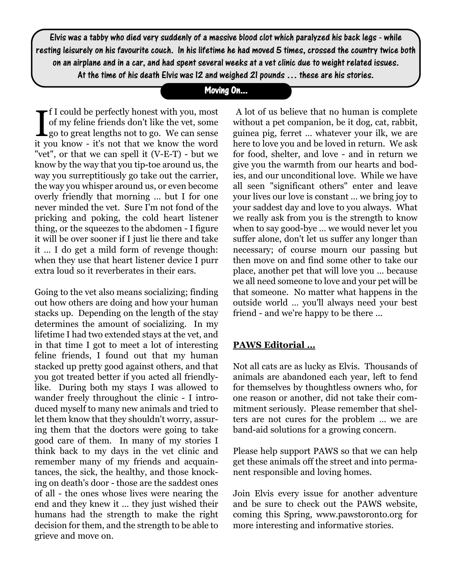Elvis was a tabby who died very suddenly of a massive blood clot which paralyzed his back legs - while resting leisurely on his favourite couch. In his lifetime he had moved 5 times, crossed the country twice both on an airplane and in a car, and had spent several weeks at a vet clinic due to weight related issues. At the time of his death Elvis was 12 and weighed 21 pounds … these are his stories.

# Moving On...

If I could be perfectly honest with you, most<br>of my feline friends don't like the vet, some<br>go to great lengths not to go. We can sense f I could be perfectly honest with you, most of my feline friends don't like the vet, some it you know - it's not that we know the word "vet", or that we can spell it (V-E-T) - but we know by the way that you tip-toe around us, the way you surreptitiously go take out the carrier, the way you whisper around us, or even become overly friendly that morning … but I for one never minded the vet. Sure I'm not fond of the pricking and poking, the cold heart listener thing, or the squeezes to the abdomen - I figure it will be over sooner if I just lie there and take it … I do get a mild form of revenge though: when they use that heart listener device I purr extra loud so it reverberates in their ears.

Going to the vet also means socializing; finding out how others are doing and how your human stacks up. Depending on the length of the stay determines the amount of socializing. In my lifetime I had two extended stays at the vet, and in that time I got to meet a lot of interesting feline friends, I found out that my human stacked up pretty good against others, and that you got treated better if you acted all friendlylike. During both my stays I was allowed to wander freely throughout the clinic - I introduced myself to many new animals and tried to let them know that they shouldn't worry, assuring them that the doctors were going to take good care of them. In many of my stories I think back to my days in the vet clinic and remember many of my friends and acquaintances, the sick, the healthy, and those knocking on death's door - those are the saddest ones of all - the ones whose lives were nearing the end and they knew it … they just wished their humans had the strength to make the right decision for them, and the strength to be able to grieve and move on.

A lot of us believe that no human is complete without a pet companion, be it dog, cat, rabbit, guinea pig, ferret … whatever your ilk, we are here to love you and be loved in return. We ask for food, shelter, and love - and in return we give you the warmth from our hearts and bodies, and our unconditional love. While we have all seen "significant others" enter and leave your lives our love is constant … we bring joy to your saddest day and love to you always. What we really ask from you is the strength to know when to say good-bye … we would never let you suffer alone, don't let us suffer any longer than necessary; of course mourn our passing but then move on and find some other to take our place, another pet that will love you … because we all need someone to love and your pet will be that someone. No matter what happens in the outside world … you'll always need your best friend - and we're happy to be there ...

## **PAWS Editorial …**

Not all cats are as lucky as Elvis. Thousands of animals are abandoned each year, left to fend for themselves by thoughtless owners who, for one reason or another, did not take their commitment seriously. Please remember that shelters are not cures for the problem … we are band-aid solutions for a growing concern.

Please help support PAWS so that we can help get these animals off the street and into permanent responsible and loving homes.

Join Elvis every issue for another adventure and be sure to check out the PAWS website, coming this Spring, www.pawstoronto.org for more interesting and informative stories.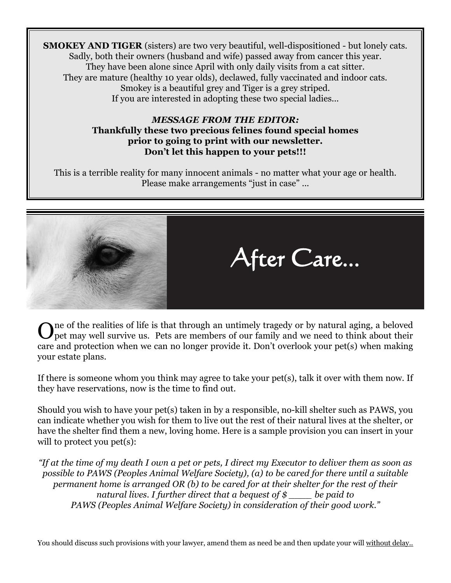**SMOKEY AND TIGER** (sisters) are two very beautiful, well-dispositioned - but lonely cats. Sadly, both their owners (husband and wife) passed away from cancer this year. They have been alone since April with only daily visits from a cat sitter. They are mature (healthy 10 year olds), declawed, fully vaccinated and indoor cats. Smokey is a beautiful grey and Tiger is a grey striped. If you are interested in adopting these two special ladies...

#### *MESSAGE FROM THE EDITOR:* **Thankfully these two precious felines found special homes prior to going to print with our newsletter. Don't let this happen to your pets!!!**

This is a terrible reality for many innocent animals - no matter what your age or health. Please make arrangements "just in case" ...



One of the realities of life is that through an untimely tragedy or by natural aging, a beloved pet may well survive us. Pets are members of our family and we need to think about their care and protection when we can no longer provide it. Don't overlook your pet(s) when making your estate plans.

If there is someone whom you think may agree to take your pet(s), talk it over with them now. If they have reservations, now is the time to find out.

Should you wish to have your pet(s) taken in by a responsible, no-kill shelter such as PAWS, you can indicate whether you wish for them to live out the rest of their natural lives at the shelter, or have the shelter find them a new, loving home. Here is a sample provision you can insert in your will to protect you pet(s):

*"If at the time of my death I own a pet or pets, I direct my Executor to deliver them as soon as possible to PAWS (Peoples Animal Welfare Society), (a) to be cared for there until a suitable permanent home is arranged OR (b) to be cared for at their shelter for the rest of their natural lives. I further direct that a bequest of \$ \_\_\_\_ be paid to PAWS (Peoples Animal Welfare Society) in consideration of their good work."*

You should discuss such provisions with your lawyer, amend them as need be and then update your will without delay..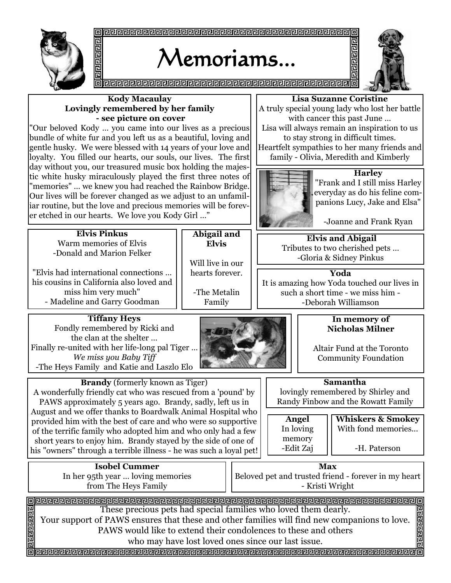

# Memoriams...



**Abigail and Elvis**

Will live in our hearts forever.

-The Metalin Family

#### **Kody Macaulay Lovingly remembered by her family - see picture on cover**

"Our beloved Kody … you came into our lives as a precious bundle of white fur and you left us as a beautiful, loving and gentle husky. We were blessed with 14 years of your love and loyalty. You filled our hearts, our souls, our lives. The first day without you, our treasured music box holding the majestic white husky miraculously played the first three notes of "memories" … we knew you had reached the Rainbow Bridge. Our lives will be forever changed as we adjust to an unfamiliar routine, but the love and precious memories will be forever etched in our hearts. We love you Kody Girl …"

**Lisa Suzanne Coristine** 

민민민민

A truly special young lady who lost her battle with cancer this past June …

Lisa will always remain an inspiration to us to stay strong in difficult times.

Heartfelt sympathies to her many friends and family - Olivia, Meredith and Kimberly



**Harley**  "Frank and I still miss Harley everyday as do his feline companions Lucy, Jake and Elsa"

-Joanne and Frank Ryan

**Elvis and Abigail** Tributes to two cherished pets … -Gloria & Sidney Pinkus

**Yoda**

It is amazing how Yoda touched our lives in such a short time - we miss him - -Deborah Williamson

#### **Tiffany Heys**  Fondly remembered by Ricki and the clan at the shelter … Finally re-united with her life-long pal Tiger … *We miss you Baby Tiff*  -The Heys Family and Katie and Laszlo Elo

**Elvis Pinkus** Warm memories of Elvis -Donald and Marion Felker

"Elvis had international connections … his cousins in California also loved and miss him very much" - Madeline and Garry Goodman



#### **In memory of Nicholas Milner**

Altair Fund at the Toronto Community Foundation

**Samantha**

lovingly remembered by Shirley and Randy Finbow and the Rowatt Family

| <b>Angel</b>        |
|---------------------|
| In loving           |
|                     |
|                     |
| memory<br>-Edit Zaj |

**Whiskers & Smokey**  With fond memories...

-H. Paterson

**Isobel Cummer** In her 95th year … loving memories from The Heys Family

**Brandy** (formerly known as Tiger) A wonderfully friendly cat who was rescued from a 'pound' by PAWS approximately 5 years ago. Brandy, sadly, left us in August and we offer thanks to Boardwalk Animal Hospital who provided him with the best of care and who were so supportive of the terrific family who adopted him and who only had a few short years to enjoy him. Brandy stayed by the side of one of his "owners" through a terrible illness - he was such a loyal pet!

> **Max** Beloved pet and trusted friend - forever in my heart - Kristi Wright

These precious pets had special families who loved them dearly.

Your support of PAWS ensures that these and other families will find new companions to love. PAWS would like to extend their condolences to these and others

who may have lost loved ones since our last issue.